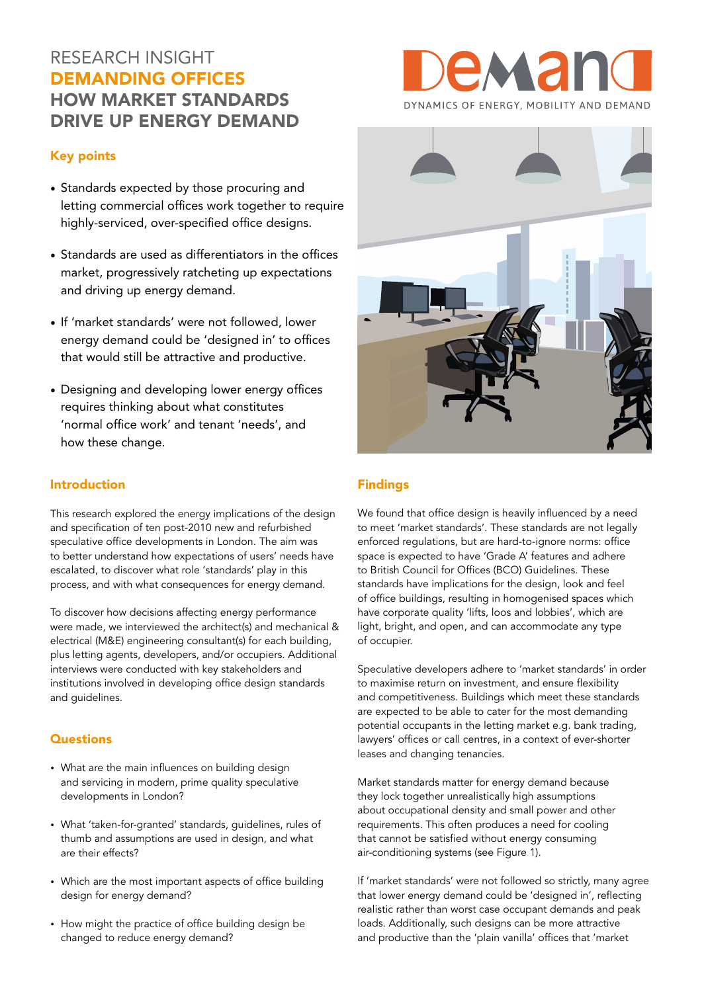# RESEARCH INSIGHT DEMANDING OFFICES HOW MARKET STANDARDS DRIVE UP ENERGY DEMAND

### Key points

- Standards expected by those procuring and letting commercial offices work together to require highly-serviced, over-specified office designs.
- Standards are used as differentiators in the offices market, progressively ratcheting up expectations and driving up energy demand.
- If 'market standards' were not followed, lower energy demand could be 'designed in' to offices that would still be attractive and productive.
- Designing and developing lower energy offices requires thinking about what constitutes 'normal office work' and tenant 'needs', and how these change.

### Introduction

This research explored the energy implications of the design and specification of ten post-2010 new and refurbished speculative office developments in London. The aim was to better understand how expectations of users' needs have escalated, to discover what role 'standards' play in this process, and with what consequences for energy demand.

To discover how decisions affecting energy performance were made, we interviewed the architect(s) and mechanical & electrical (M&E) engineering consultant(s) for each building, plus letting agents, developers, and/or occupiers. Additional interviews were conducted with key stakeholders and institutions involved in developing office design standards and guidelines.

#### **Questions**

- What are the main influences on building design and servicing in modern, prime quality speculative developments in London?
- What 'taken-for-granted' standards, guidelines, rules of thumb and assumptions are used in design, and what are their effects?
- Which are the most important aspects of office building design for energy demand?
- How might the practice of office building design be changed to reduce energy demand?



## **Findings**

We found that office design is heavily influenced by a need to meet 'market standards'. These standards are not legally enforced regulations, but are hard-to-ignore norms: office space is expected to have 'Grade A' features and adhere to British Council for Offices (BCO) Guidelines. These standards have implications for the design, look and feel of office buildings, resulting in homogenised spaces which have corporate quality 'lifts, loos and lobbies', which are light, bright, and open, and can accommodate any type of occupier.

Speculative developers adhere to 'market standards' in order to maximise return on investment, and ensure flexibility and competitiveness. Buildings which meet these standards are expected to be able to cater for the most demanding potential occupants in the letting market e.g. bank trading, lawyers' offices or call centres, in a context of ever-shorter leases and changing tenancies.

Market standards matter for energy demand because they lock together unrealistically high assumptions about occupational density and small power and other requirements. This often produces a need for cooling that cannot be satisfied without energy consuming air-conditioning systems (see Figure 1).

If 'market standards' were not followed so strictly, many agree that lower energy demand could be 'designed in', reflecting realistic rather than worst case occupant demands and peak loads. Additionally, such designs can be more attractive and productive than the 'plain vanilla' offices that 'market